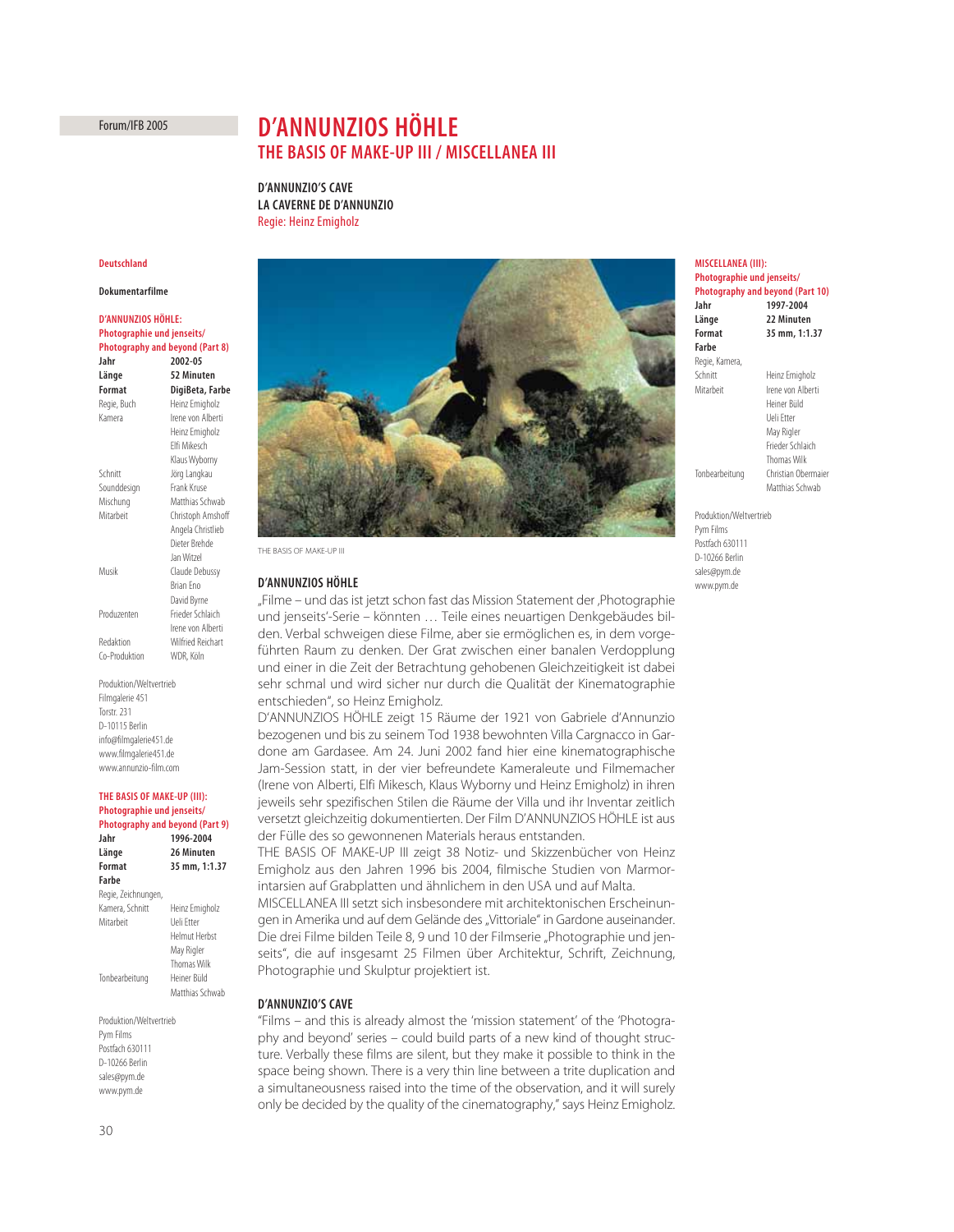Forum/IFB 2005

# **D'ANNUNZIOS HÖHLE THE BASIS OF MAKE-UP III / MISCELLANEA III**

**D'ANNUNZIO'S CAVE LA CAVERNE DE D'ANNUNZIO** Regie: Heinz Emigholz

#### **Deutschland**

### **Dokumentarfilme**

**D'ANNUNZIOS HÖHLE: Photographie und jenseits/ Photography and beyond (Part 8) Jahr 2002-05 Länge 52 Minuten Format DigiBeta, Farbe**  Regie, Buch Heinz Emigholz Kamera **Irene von Alberti** Heinz Emigholz Elfi Mikesch Klaus Wyborny Schnitt Jörg Langkau Sounddesign Frank Kruse Mischung Matthias Schwab Mitarbeit Christoph Amshoff Angela Christlieb Dieter Brehde Jan Witzel Musik Claude Debussy Brian Eno David Byrne Produzenten Frieder Schlaich Irene von Alberti Redaktion Wilfried Reichart Co-Produktion WDR, Köln

Produktion/Weltvertrieb Filmgalerie 451 Torstr. 231 D-10115 Berlin info@filmgalerie451.de www.filmgalerie451.de www.annunzio-film.com

#### **THE BASIS OF MAKE-UP (III): Photographie und jenseits/ Photography and beyond (Part 9)**

| Jahr                | 1996-2004            |
|---------------------|----------------------|
| Länge               | 26 Minuten           |
| Format              | 35 mm, 1:1.37        |
| Farbe               |                      |
| Regie, Zeichnungen, |                      |
| Kamera, Schnitt     | Heinz Emigholz       |
| Mitarbeit           | Ueli Ftter           |
|                     | <b>Helmut Herbst</b> |
|                     | May Rigler           |
|                     | <b>Thomas Wilk</b>   |
| Tonbearbeitung      | Heiner Büld          |
|                     | Matthias Schwah      |
|                     |                      |

Produktion/Weltvertrieb Pym Films Postfach 630111 D-10266 Berlin sales@pym.de www.pym.de



THE BASIS OF MAKE-UP III

### **D'ANNUNZIOS HÖHLE**

"Filme – und das ist jetzt schon fast das Mission Statement der "Photographie und jenseits'-Serie – könnten … Teile eines neuartigen Denkgebäudes bilden. Verbal schweigen diese Filme, aber sie ermöglichen es, in dem vorgeführten Raum zu denken. Der Grat zwischen einer banalen Verdopplung und einer in die Zeit der Betrachtung gehobenen Gleichzeitigkeit ist dabei sehr schmal und wird sicher nur durch die Qualität der Kinematographie entschieden", so Heinz Emigholz.

D'ANNUNZIOS HÖHLE zeigt 15 Räume der 1921 von Gabriele d'Annunzio bezogenen und bis zu seinem Tod 1938 bewohnten Villa Cargnacco in Gardone am Gardasee. Am 24. Juni 2002 fand hier eine kinematographische Jam-Session statt, in der vier befreundete Kameraleute und Filmemacher (Irene von Alberti, Elfi Mikesch, Klaus Wyborny und Heinz Emigholz) in ihren jeweils sehr spezifischen Stilen die Räume der Villa und ihr Inventar zeitlich versetzt gleichzeitig dokumentierten. Der Film D'ANNUNZIOS HÖHLE ist aus der Fülle des so gewonnenen Materials heraus entstanden.

THE BASIS OF MAKE-UP III zeigt 38 Notiz- und Skizzenbücher von Heinz Emigholz aus den Jahren 1996 bis 2004, filmische Studien von Marmorintarsien auf Grabplatten und ähnlichem in den USA und auf Malta.

MISCELLANEA III setzt sich insbesondere mit architektonischen Erscheinungen in Amerika und auf dem Gelände des "Vittoriale" in Gardone auseinander. Die drei Filme bilden Teile 8, 9 und 10 der Filmserie "Photographie und jenseits", die auf insgesamt 25 Filmen über Architektur, Schrift, Zeichnung, Photographie und Skulptur projektiert ist.

#### **D'ANNUNZIO'S CAVE**

"Films – and this is already almost the 'mission statement' of the 'Photography and beyond' series – could build parts of a new kind of thought structure. Verbally these films are silent, but they make it possible to think in the space being shown. There is a very thin line between a trite duplication and a simultaneousness raised into the time of the observation, and it will surely only be decided by the quality of the cinematography," says Heinz Emigholz.

## **MISCELLANEA (III): Photographie und jenseits/**

| <b>Photography and beyond (Part 10)</b> |                     |
|-----------------------------------------|---------------------|
| Jahr                                    | 1997-2004           |
| Länge                                   | 22 Minuten          |
| <b>Format</b>                           | 35 mm, 1:1.37       |
| Farbe                                   |                     |
| Regie, Kamera,                          |                     |
| Schnitt                                 | Heinz Emigholz      |
| Mitarheit                               | Irene von Alberti   |
|                                         | Heiner Biild        |
|                                         | Lleli Etter         |
|                                         | May Rigler          |
|                                         | Frieder Schlaich    |
|                                         | Thomas Wilk         |
| Tonbearbeitung                          | Christian Obermaier |
|                                         | Matthias Schwab     |
|                                         |                     |

Produktion/Weltvertrieb Pym Films Postfach 630111 D-10266 Berlin sales@pym.de www.pym.de